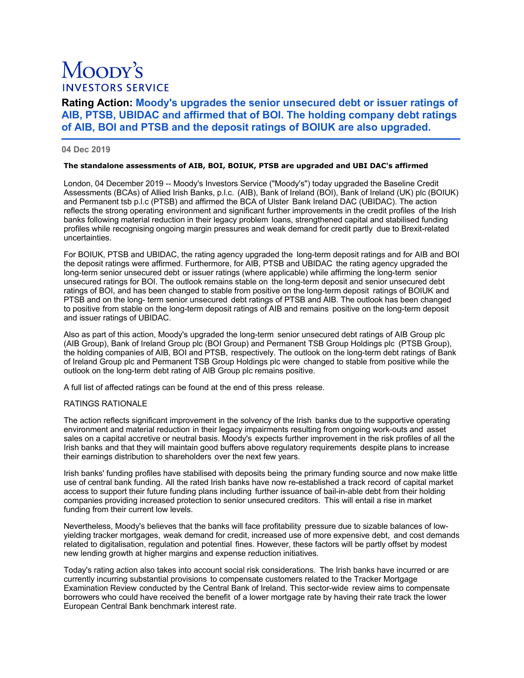# Moopy's **INVESTORS SERVICE**

# **Rating Action: Moody's upgrades the senior unsecured debt or issuer ratings of AIB, PTSB, UBIDAC and affirmed that of BOI. The holding company debt ratings of AIB, BOI and PTSB and the deposit ratings of BOIUK are also upgraded.**

# **04 Dec 2019**

# **The standalone assessments of AIB, BOI, BOIUK, PTSB are upgraded and UBI DAC's affirmed**

London, 04 December 2019 -- Moody's Investors Service ("Moody's") today upgraded the Baseline Credit Assessments (BCAs) of Allied Irish Banks, p.l.c. (AIB), Bank of Ireland (BOI), Bank of Ireland (UK) plc (BOIUK) and Permanent tsb p.l.c (PTSB) and affirmed the BCA of Ulster Bank Ireland DAC (UBIDAC). The action reflects the strong operating environment and significant further improvements in the credit profiles of the Irish banks following material reduction in their legacy problem loans, strengthened capital and stabilised funding profiles while recognising ongoing margin pressures and weak demand for credit partly due to Brexit-related uncertainties.

For BOIUK, PTSB and UBIDAC, the rating agency upgraded the long-term deposit ratings and for AIB and BOI the deposit ratings were affirmed. Furthermore, for AIB, PTSB and UBIDAC the rating agency upgraded the long-term senior unsecured debt or issuer ratings (where applicable) while affirming the long-term senior unsecured ratings for BOI. The outlook remains stable on the long-term deposit and senior unsecured debt ratings of BOI, and has been changed to stable from positive on the long-term deposit ratings of BOIUK and PTSB and on the long- term senior unsecured debt ratings of PTSB and AIB. The outlook has been changed to positive from stable on the long-term deposit ratings of AIB and remains positive on the long-term deposit and issuer ratings of UBIDAC.

Also as part of this action, Moody's upgraded the long-term senior unsecured debt ratings of AIB Group plc (AIB Group), Bank of Ireland Group plc (BOI Group) and Permanent TSB Group Holdings plc (PTSB Group), the holding companies of AIB, BOI and PTSB, respectively. The outlook on the long-term debt ratings of Bank of Ireland Group plc and Permanent TSB Group Holdings plc were changed to stable from positive while the outlook on the long-term debt rating of AIB Group plc remains positive.

A full list of affected ratings can be found at the end of this press release.

# RATINGS RATIONALE

The action reflects significant improvement in the solvency of the Irish banks due to the supportive operating environment and material reduction in their legacy impairments resulting from ongoing work-outs and asset sales on a capital accretive or neutral basis. Moody's expects further improvement in the risk profiles of all the Irish banks and that they will maintain good buffers above regulatory requirements despite plans to increase their earnings distribution to shareholders over the next few years.

Irish banks' funding profiles have stabilised with deposits being the primary funding source and now make little use of central bank funding. All the rated Irish banks have now re-established a track record of capital market access to support their future funding plans including further issuance of bail-in-able debt from their holding companies providing increased protection to senior unsecured creditors. This will entail a rise in market funding from their current low levels.

Nevertheless, Moody's believes that the banks will face profitability pressure due to sizable balances of lowyielding tracker mortgages, weak demand for credit, increased use of more expensive debt, and cost demands related to digitalisation, regulation and potential fines. However, these factors will be partly offset by modest new lending growth at higher margins and expense reduction initiatives.

Today's rating action also takes into account social risk considerations. The Irish banks have incurred or are currently incurring substantial provisions to compensate customers related to the Tracker Mortgage Examination Review conducted by the Central Bank of Ireland. This sector-wide review aims to compensate borrowers who could have received the benefit of a lower mortgage rate by having their rate track the lower European Central Bank benchmark interest rate.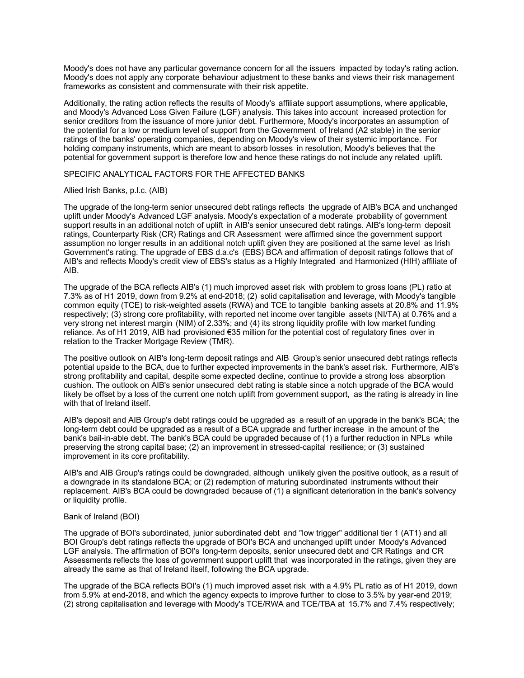Moody's does not have any particular governance concern for all the issuers impacted by today's rating action. Moody's does not apply any corporate behaviour adjustment to these banks and views their risk management frameworks as consistent and commensurate with their risk appetite.

Additionally, the rating action reflects the results of Moody's affiliate support assumptions, where applicable, and Moody's Advanced Loss Given Failure (LGF) analysis. This takes into account increased protection for senior creditors from the issuance of more junior debt. Furthermore, Moody's incorporates an assumption of the potential for a low or medium level of support from the Government of Ireland (A2 stable) in the senior ratings of the banks' operating companies, depending on Moody's view of their systemic importance. For holding company instruments, which are meant to absorb losses in resolution, Moody's believes that the potential for government support is therefore low and hence these ratings do not include any related uplift.

#### SPECIFIC ANALYTICAL FACTORS FOR THE AFFECTED BANKS

#### Allied Irish Banks, p.l.c. (AIB)

The upgrade of the long-term senior unsecured debt ratings reflects the upgrade of AIB's BCA and unchanged uplift under Moody's Advanced LGF analysis. Moody's expectation of a moderate probability of government support results in an additional notch of uplift in AIB's senior unsecured debt ratings. AIB's long-term deposit ratings, Counterparty Risk (CR) Ratings and CR Assessment were affirmed since the government support assumption no longer results in an additional notch uplift given they are positioned at the same level as Irish Government's rating. The upgrade of EBS d.a.c's (EBS) BCA and affirmation of deposit ratings follows that of AIB's and reflects Moody's credit view of EBS's status as a Highly Integrated and Harmonized (HIH) affiliate of AIB.

The upgrade of the BCA reflects AIB's (1) much improved asset risk with problem to gross loans (PL) ratio at 7.3% as of H1 2019, down from 9.2% at end-2018; (2) solid capitalisation and leverage, with Moody's tangible common equity (TCE) to risk-weighted assets (RWA) and TCE to tangible banking assets at 20.8% and 11.9% respectively; (3) strong core profitability, with reported net income over tangible assets (NI/TA) at 0.76% and a very strong net interest margin (NIM) of 2.33%; and (4) its strong liquidity profile with low market funding reliance. As of H1 2019, AIB had provisioned €35 million for the potential cost of regulatory fines over in relation to the Tracker Mortgage Review (TMR).

The positive outlook on AIB's long-term deposit ratings and AIB Group's senior unsecured debt ratings reflects potential upside to the BCA, due to further expected improvements in the bank's asset risk. Furthermore, AIB's strong profitability and capital, despite some expected decline, continue to provide a strong loss absorption cushion. The outlook on AIB's senior unsecured debt rating is stable since a notch upgrade of the BCA would likely be offset by a loss of the current one notch uplift from government support, as the rating is already in line with that of Ireland itself.

AIB's deposit and AIB Group's debt ratings could be upgraded as a result of an upgrade in the bank's BCA; the long-term debt could be upgraded as a result of a BCA upgrade and further increase in the amount of the bank's bail-in-able debt. The bank's BCA could be upgraded because of (1) a further reduction in NPLs while preserving the strong capital base; (2) an improvement in stressed-capital resilience; or (3) sustained improvement in its core profitability.

AIB's and AIB Group's ratings could be downgraded, although unlikely given the positive outlook, as a result of a downgrade in its standalone BCA; or (2) redemption of maturing subordinated instruments without their replacement. AIB's BCA could be downgraded because of (1) a significant deterioration in the bank's solvency or liquidity profile.

#### Bank of Ireland (BOI)

The upgrade of BOI's subordinated, junior subordinated debt and "low trigger" additional tier 1 (AT1) and all BOI Group's debt ratings reflects the upgrade of BOI's BCA and unchanged uplift under Moody's Advanced LGF analysis. The affirmation of BOI's long-term deposits, senior unsecured debt and CR Ratings and CR Assessments reflects the loss of government support uplift that was incorporated in the ratings, given they are already the same as that of Ireland itself, following the BCA upgrade.

The upgrade of the BCA reflects BOI's (1) much improved asset risk with a 4.9% PL ratio as of H1 2019, down from 5.9% at end-2018, and which the agency expects to improve further to close to 3.5% by year-end 2019; (2) strong capitalisation and leverage with Moody's TCE/RWA and TCE/TBA at 15.7% and 7.4% respectively;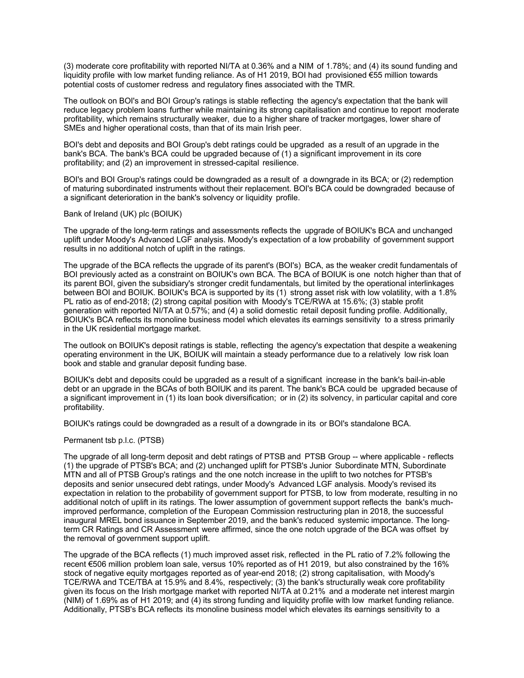(3) moderate core profitability with reported NI/TA at 0.36% and a NIM of 1.78%; and (4) its sound funding and liquidity profile with low market funding reliance. As of H1 2019, BOI had provisioned €55 million towards potential costs of customer redress and regulatory fines associated with the TMR.

The outlook on BOI's and BOI Group's ratings is stable reflecting the agency's expectation that the bank will reduce legacy problem loans further while maintaining its strong capitalisation and continue to report moderate profitability, which remains structurally weaker, due to a higher share of tracker mortgages, lower share of SMEs and higher operational costs, than that of its main Irish peer.

BOI's debt and deposits and BOI Group's debt ratings could be upgraded as a result of an upgrade in the bank's BCA. The bank's BCA could be upgraded because of (1) a significant improvement in its core profitability; and (2) an improvement in stressed-capital resilience.

BOI's and BOI Group's ratings could be downgraded as a result of a downgrade in its BCA; or (2) redemption of maturing subordinated instruments without their replacement. BOI's BCA could be downgraded because of a significant deterioration in the bank's solvency or liquidity profile.

#### Bank of Ireland (UK) plc (BOIUK)

The upgrade of the long-term ratings and assessments reflects the upgrade of BOIUK's BCA and unchanged uplift under Moody's Advanced LGF analysis. Moody's expectation of a low probability of government support results in no additional notch of uplift in the ratings.

The upgrade of the BCA reflects the upgrade of its parent's (BOI's) BCA, as the weaker credit fundamentals of BOI previously acted as a constraint on BOIUK's own BCA. The BCA of BOIUK is one notch higher than that of its parent BOI, given the subsidiary's stronger credit fundamentals, but limited by the operational interlinkages between BOI and BOIUK. BOIUK's BCA is supported by its (1) strong asset risk with low volatility, with a 1.8% PL ratio as of end-2018; (2) strong capital position with Moody's TCE/RWA at 15.6%; (3) stable profit generation with reported NI/TA at 0.57%; and (4) a solid domestic retail deposit funding profile. Additionally, BOIUK's BCA reflects its monoline business model which elevates its earnings sensitivity to a stress primarily in the UK residential mortgage market.

The outlook on BOIUK's deposit ratings is stable, reflecting the agency's expectation that despite a weakening operating environment in the UK, BOIUK will maintain a steady performance due to a relatively low risk loan book and stable and granular deposit funding base.

BOIUK's debt and deposits could be upgraded as a result of a significant increase in the bank's bail-in-able debt or an upgrade in the BCAs of both BOIUK and its parent. The bank's BCA could be upgraded because of a significant improvement in (1) its loan book diversification; or in (2) its solvency, in particular capital and core profitability.

BOIUK's ratings could be downgraded as a result of a downgrade in its or BOI's standalone BCA.

# Permanent tsb p.l.c. (PTSB)

The upgrade of all long-term deposit and debt ratings of PTSB and PTSB Group -- where applicable - reflects (1) the upgrade of PTSB's BCA; and (2) unchanged uplift for PTSB's Junior Subordinate MTN, Subordinate MTN and all of PTSB Group's ratings and the one notch increase in the uplift to two notches for PTSB's deposits and senior unsecured debt ratings, under Moody's Advanced LGF analysis. Moody's revised its expectation in relation to the probability of government support for PTSB, to low from moderate, resulting in no additional notch of uplift in its ratings. The lower assumption of government support reflects the bank's muchimproved performance, completion of the European Commission restructuring plan in 2018, the successful inaugural MREL bond issuance in September 2019, and the bank's reduced systemic importance. The longterm CR Ratings and CR Assessment were affirmed, since the one notch upgrade of the BCA was offset by the removal of government support uplift.

The upgrade of the BCA reflects (1) much improved asset risk, reflected in the PL ratio of 7.2% following the recent €506 million problem loan sale, versus 10% reported as of H1 2019, but also constrained by the 16% stock of negative equity mortgages reported as of year-end 2018; (2) strong capitalisation, with Moody's TCE/RWA and TCE/TBA at 15.9% and 8.4%, respectively; (3) the bank's structurally weak core profitability given its focus on the Irish mortgage market with reported NI/TA at 0.21% and a moderate net interest margin (NIM) of 1.69% as of H1 2019; and (4) its strong funding and liquidity profile with low market funding reliance. Additionally, PTSB's BCA reflects its monoline business model which elevates its earnings sensitivity to a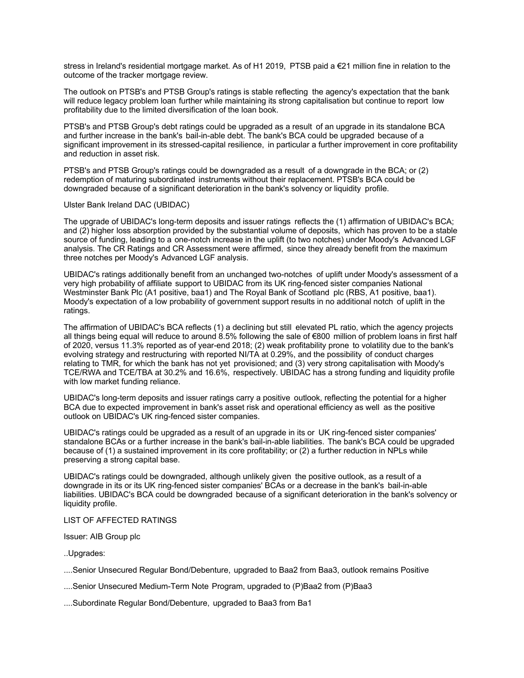stress in Ireland's residential mortgage market. As of H1 2019, PTSB paid a €21 million fine in relation to the outcome of the tracker mortgage review.

The outlook on PTSB's and PTSB Group's ratings is stable reflecting the agency's expectation that the bank will reduce legacy problem loan further while maintaining its strong capitalisation but continue to report low profitability due to the limited diversification of the loan book.

PTSB's and PTSB Group's debt ratings could be upgraded as a result of an upgrade in its standalone BCA and further increase in the bank's bail-in-able debt. The bank's BCA could be upgraded because of a significant improvement in its stressed-capital resilience, in particular a further improvement in core profitability and reduction in asset risk.

PTSB's and PTSB Group's ratings could be downgraded as a result of a downgrade in the BCA; or (2) redemption of maturing subordinated instruments without their replacement. PTSB's BCA could be downgraded because of a significant deterioration in the bank's solvency or liquidity profile.

#### Ulster Bank Ireland DAC (UBIDAC)

The upgrade of UBIDAC's long-term deposits and issuer ratings reflects the (1) affirmation of UBIDAC's BCA; and (2) higher loss absorption provided by the substantial volume of deposits, which has proven to be a stable source of funding, leading to a one-notch increase in the uplift (to two notches) under Moody's Advanced LGF analysis. The CR Ratings and CR Assessment were affirmed, since they already benefit from the maximum three notches per Moody's Advanced LGF analysis.

UBIDAC's ratings additionally benefit from an unchanged two-notches of uplift under Moody's assessment of a very high probability of affiliate support to UBIDAC from its UK ring-fenced sister companies National Westminster Bank Plc (A1 positive, baa1) and The Royal Bank of Scotland plc (RBS, A1 positive, baa1). Moody's expectation of a low probability of government support results in no additional notch of uplift in the ratings.

The affirmation of UBIDAC's BCA reflects (1) a declining but still elevated PL ratio, which the agency projects all things being equal will reduce to around 8.5% following the sale of €800 million of problem loans in first half of 2020, versus 11.3% reported as of year-end 2018; (2) weak profitability prone to volatility due to the bank's evolving strategy and restructuring with reported NI/TA at 0.29%, and the possibility of conduct charges relating to TMR, for which the bank has not yet provisioned; and (3) very strong capitalisation with Moody's TCE/RWA and TCE/TBA at 30.2% and 16.6%, respectively. UBIDAC has a strong funding and liquidity profile with low market funding reliance.

UBIDAC's long-term deposits and issuer ratings carry a positive outlook, reflecting the potential for a higher BCA due to expected improvement in bank's asset risk and operational efficiency as well as the positive outlook on UBIDAC's UK ring-fenced sister companies.

UBIDAC's ratings could be upgraded as a result of an upgrade in its or UK ring-fenced sister companies' standalone BCAs or a further increase in the bank's bail-in-able liabilities. The bank's BCA could be upgraded because of (1) a sustained improvement in its core profitability; or (2) a further reduction in NPLs while preserving a strong capital base.

UBIDAC's ratings could be downgraded, although unlikely given the positive outlook, as a result of a downgrade in its or its UK ring-fenced sister companies' BCAs or a decrease in the bank's bail-in-able liabilities. UBIDAC's BCA could be downgraded because of a significant deterioration in the bank's solvency or liquidity profile.

# LIST OF AFFECTED RATINGS

Issuer: AIB Group plc

..Upgrades:

- ....Senior Unsecured Regular Bond/Debenture, upgraded to Baa2 from Baa3, outlook remains Positive
- ....Senior Unsecured Medium-Term Note Program, upgraded to (P)Baa2 from (P)Baa3
- ....Subordinate Regular Bond/Debenture, upgraded to Baa3 from Ba1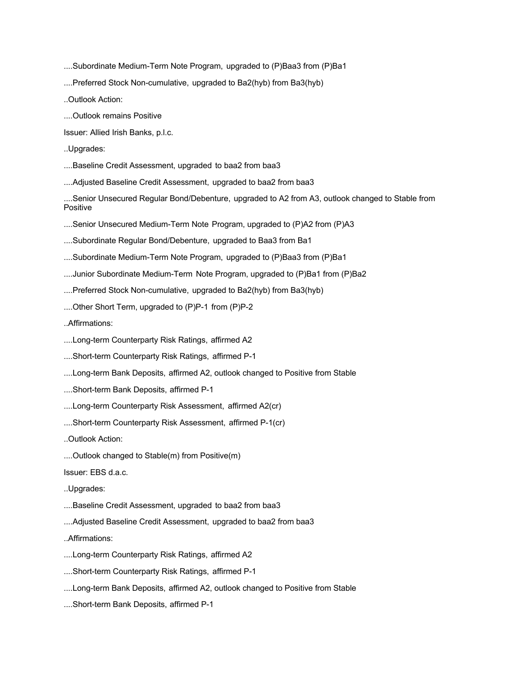....Subordinate Medium-Term Note Program, upgraded to (P)Baa3 from (P)Ba1

....Preferred Stock Non-cumulative, upgraded to Ba2(hyb) from Ba3(hyb)

..Outlook Action:

....Outlook remains Positive

Issuer: Allied Irish Banks, p.l.c.

- ..Upgrades:
- ....Baseline Credit Assessment, upgraded to baa2 from baa3
- ....Adjusted Baseline Credit Assessment, upgraded to baa2 from baa3

....Senior Unsecured Regular Bond/Debenture, upgraded to A2 from A3, outlook changed to Stable from Positive

....Senior Unsecured Medium-Term Note Program, upgraded to (P)A2 from (P)A3

....Subordinate Regular Bond/Debenture, upgraded to Baa3 from Ba1

- ....Subordinate Medium-Term Note Program, upgraded to (P)Baa3 from (P)Ba1
- ....Junior Subordinate Medium-Term Note Program, upgraded to (P)Ba1 from (P)Ba2
- ....Preferred Stock Non-cumulative, upgraded to Ba2(hyb) from Ba3(hyb)
- ....Other Short Term, upgraded to (P)P-1 from (P)P-2

..Affirmations:

- ....Long-term Counterparty Risk Ratings, affirmed A2
- ....Short-term Counterparty Risk Ratings, affirmed P-1
- ....Long-term Bank Deposits, affirmed A2, outlook changed to Positive from Stable
- ....Short-term Bank Deposits, affirmed P-1
- ....Long-term Counterparty Risk Assessment, affirmed A2(cr)
- ....Short-term Counterparty Risk Assessment, affirmed P-1(cr)

..Outlook Action:

....Outlook changed to Stable(m) from Positive(m)

Issuer: EBS d.a.c.

- ..Upgrades:
- ....Baseline Credit Assessment, upgraded to baa2 from baa3
- ....Adjusted Baseline Credit Assessment, upgraded to baa2 from baa3

..Affirmations:

- ....Long-term Counterparty Risk Ratings, affirmed A2
- ....Short-term Counterparty Risk Ratings, affirmed P-1
- ....Long-term Bank Deposits, affirmed A2, outlook changed to Positive from Stable
- ....Short-term Bank Deposits, affirmed P-1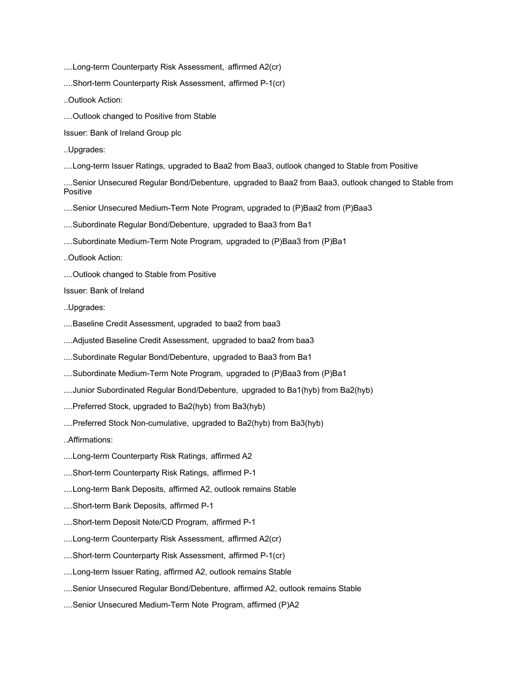....Long-term Counterparty Risk Assessment, affirmed A2(cr)

....Short-term Counterparty Risk Assessment, affirmed P-1(cr)

..Outlook Action:

....Outlook changed to Positive from Stable

Issuer: Bank of Ireland Group plc

..Upgrades:

....Long-term Issuer Ratings, upgraded to Baa2 from Baa3, outlook changed to Stable from Positive

....Senior Unsecured Regular Bond/Debenture, upgraded to Baa2 from Baa3, outlook changed to Stable from Positive

....Senior Unsecured Medium-Term Note Program, upgraded to (P)Baa2 from (P)Baa3

....Subordinate Regular Bond/Debenture, upgraded to Baa3 from Ba1

- ....Subordinate Medium-Term Note Program, upgraded to (P)Baa3 from (P)Ba1
- ..Outlook Action:
- ....Outlook changed to Stable from Positive

#### Issuer: Bank of Ireland

..Upgrades:

- ....Baseline Credit Assessment, upgraded to baa2 from baa3
- ....Adjusted Baseline Credit Assessment, upgraded to baa2 from baa3
- ....Subordinate Regular Bond/Debenture, upgraded to Baa3 from Ba1
- ....Subordinate Medium-Term Note Program, upgraded to (P)Baa3 from (P)Ba1
- ....Junior Subordinated Regular Bond/Debenture, upgraded to Ba1(hyb) from Ba2(hyb)
- ....Preferred Stock, upgraded to Ba2(hyb) from Ba3(hyb)
- ....Preferred Stock Non-cumulative, upgraded to Ba2(hyb) from Ba3(hyb)

..Affirmations:

- ....Long-term Counterparty Risk Ratings, affirmed A2
- ....Short-term Counterparty Risk Ratings, affirmed P-1
- ....Long-term Bank Deposits, affirmed A2, outlook remains Stable
- ....Short-term Bank Deposits, affirmed P-1
- ....Short-term Deposit Note/CD Program, affirmed P-1
- ....Long-term Counterparty Risk Assessment, affirmed A2(cr)
- ....Short-term Counterparty Risk Assessment, affirmed P-1(cr)
- ....Long-term Issuer Rating, affirmed A2, outlook remains Stable
- ....Senior Unsecured Regular Bond/Debenture, affirmed A2, outlook remains Stable
- ....Senior Unsecured Medium-Term Note Program, affirmed (P)A2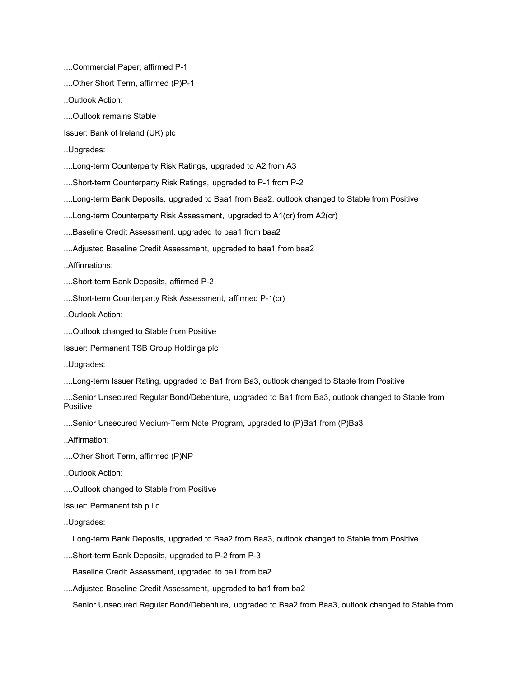- ....Commercial Paper, affirmed P-1
- ....Other Short Term, affirmed (P)P-1
- ..Outlook Action:
- ....Outlook remains Stable
- Issuer: Bank of Ireland (UK) plc
- ..Upgrades:
- ....Long-term Counterparty Risk Ratings, upgraded to A2 from A3
- ....Short-term Counterparty Risk Ratings, upgraded to P-1 from P-2
- ....Long-term Bank Deposits, upgraded to Baa1 from Baa2, outlook changed to Stable from Positive
- ....Long-term Counterparty Risk Assessment, upgraded to A1(cr) from A2(cr)
- ....Baseline Credit Assessment, upgraded to baa1 from baa2
- ....Adjusted Baseline Credit Assessment, upgraded to baa1 from baa2
- ..Affirmations:
- ....Short-term Bank Deposits, affirmed P-2
- ....Short-term Counterparty Risk Assessment, affirmed P-1(cr)
- ..Outlook Action:
- ....Outlook changed to Stable from Positive
- Issuer: Permanent TSB Group Holdings plc
- ..Upgrades:
- ....Long-term Issuer Rating, upgraded to Ba1 from Ba3, outlook changed to Stable from Positive
- ....Senior Unsecured Regular Bond/Debenture, upgraded to Ba1 from Ba3, outlook changed to Stable from Positive
- ....Senior Unsecured Medium-Term Note Program, upgraded to (P)Ba1 from (P)Ba3
- ..Affirmation:
- ....Other Short Term, affirmed (P)NP
- ..Outlook Action:
- ....Outlook changed to Stable from Positive

#### Issuer: Permanent tsb p.l.c.

- ..Upgrades:
- ....Long-term Bank Deposits, upgraded to Baa2 from Baa3, outlook changed to Stable from Positive
- ....Short-term Bank Deposits, upgraded to P-2 from P-3
- ....Baseline Credit Assessment, upgraded to ba1 from ba2
- ....Adjusted Baseline Credit Assessment, upgraded to ba1 from ba2
- ....Senior Unsecured Regular Bond/Debenture, upgraded to Baa2 from Baa3, outlook changed to Stable from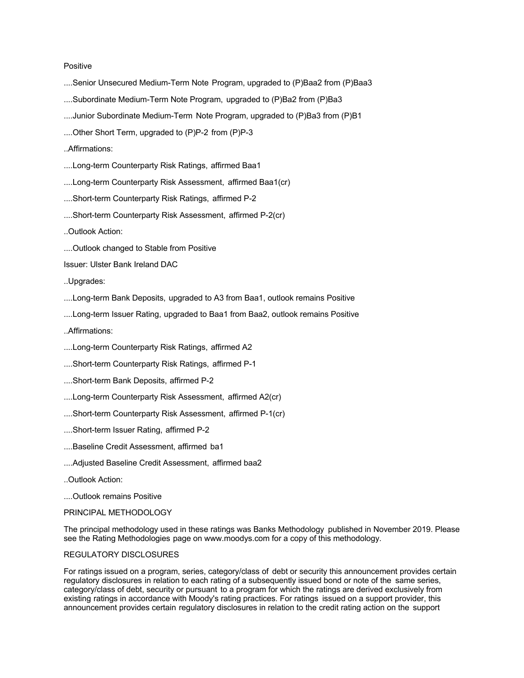# Positive

- ....Senior Unsecured Medium-Term Note Program, upgraded to (P)Baa2 from (P)Baa3
- ....Subordinate Medium-Term Note Program, upgraded to (P)Ba2 from (P)Ba3
- ....Junior Subordinate Medium-Term Note Program, upgraded to (P)Ba3 from (P)B1
- ....Other Short Term, upgraded to (P)P-2 from (P)P-3
- ..Affirmations:
- ....Long-term Counterparty Risk Ratings, affirmed Baa1
- ....Long-term Counterparty Risk Assessment, affirmed Baa1(cr)
- ....Short-term Counterparty Risk Ratings, affirmed P-2
- ....Short-term Counterparty Risk Assessment, affirmed P-2(cr)
- ..Outlook Action:
- ....Outlook changed to Stable from Positive
- Issuer: Ulster Bank Ireland DAC
- ..Upgrades:
- ....Long-term Bank Deposits, upgraded to A3 from Baa1, outlook remains Positive
- ....Long-term Issuer Rating, upgraded to Baa1 from Baa2, outlook remains Positive
- ..Affirmations:
- ....Long-term Counterparty Risk Ratings, affirmed A2
- ....Short-term Counterparty Risk Ratings, affirmed P-1
- ....Short-term Bank Deposits, affirmed P-2
- ....Long-term Counterparty Risk Assessment, affirmed A2(cr)
- ....Short-term Counterparty Risk Assessment, affirmed P-1(cr)
- ....Short-term Issuer Rating, affirmed P-2
- ....Baseline Credit Assessment, affirmed ba1
- ....Adjusted Baseline Credit Assessment, affirmed baa2
- ..Outlook Action:
- ....Outlook remains Positive

#### PRINCIPAL METHODOLOGY

The principal methodology used in these ratings was Banks Methodology published in November 2019. Please see the Rating Methodologies page on www.moodys.com for a copy of this methodology.

# REGULATORY DISCLOSURES

For ratings issued on a program, series, category/class of debt or security this announcement provides certain regulatory disclosures in relation to each rating of a subsequently issued bond or note of the same series, category/class of debt, security or pursuant to a program for which the ratings are derived exclusively from existing ratings in accordance with Moody's rating practices. For ratings issued on a support provider, this announcement provides certain regulatory disclosures in relation to the credit rating action on the support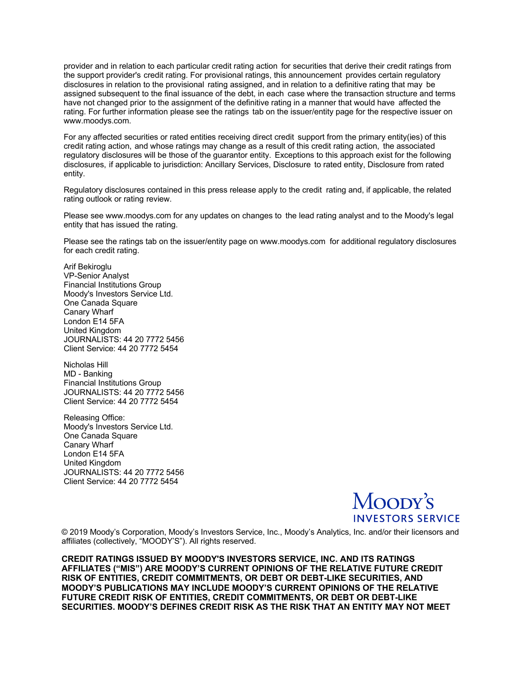provider and in relation to each particular credit rating action for securities that derive their credit ratings from the support provider's credit rating. For provisional ratings, this announcement provides certain regulatory disclosures in relation to the provisional rating assigned, and in relation to a definitive rating that may be assigned subsequent to the final issuance of the debt, in each case where the transaction structure and terms have not changed prior to the assignment of the definitive rating in a manner that would have affected the rating. For further information please see the ratings tab on the issuer/entity page for the respective issuer on www.moodys.com.

For any affected securities or rated entities receiving direct credit support from the primary entity(ies) of this credit rating action, and whose ratings may change as a result of this credit rating action, the associated regulatory disclosures will be those of the guarantor entity. Exceptions to this approach exist for the following disclosures, if applicable to jurisdiction: Ancillary Services, Disclosure to rated entity, Disclosure from rated entity.

Regulatory disclosures contained in this press release apply to the credit rating and, if applicable, the related rating outlook or rating review.

Please see www.moodys.com for any updates on changes to the lead rating analyst and to the Moody's legal entity that has issued the rating.

Please see the ratings tab on the issuer/entity page on www.moodys.com for additional regulatory disclosures for each credit rating.

Arif Bekiroglu VP-Senior Analyst Financial Institutions Group Moody's Investors Service Ltd. One Canada Square Canary Wharf London E14 5FA United Kingdom JOURNALISTS: 44 20 7772 5456 Client Service: 44 20 7772 5454

Nicholas Hill MD - Banking Financial Institutions Group JOURNALISTS: 44 20 7772 5456 Client Service: 44 20 7772 5454

Releasing Office: Moody's Investors Service Ltd. One Canada Square Canary Wharf London E14 5FA United Kingdom JOURNALISTS: 44 20 7772 5456 Client Service: 44 20 7772 5454



© 2019 Moody's Corporation, Moody's Investors Service, Inc., Moody's Analytics, Inc. and/or their licensors and affiliates (collectively, "MOODY'S"). All rights reserved.

**CREDIT RATINGS ISSUED BY MOODY'S INVESTORS SERVICE, INC. AND ITS RATINGS AFFILIATES ("MIS") ARE MOODY'S CURRENT OPINIONS OF THE RELATIVE FUTURE CREDIT RISK OF ENTITIES, CREDIT COMMITMENTS, OR DEBT OR DEBT-LIKE SECURITIES, AND MOODY'S PUBLICATIONS MAY INCLUDE MOODY'S CURRENT OPINIONS OF THE RELATIVE FUTURE CREDIT RISK OF ENTITIES, CREDIT COMMITMENTS, OR DEBT OR DEBT-LIKE SECURITIES. MOODY'S DEFINES CREDIT RISK AS THE RISK THAT AN ENTITY MAY NOT MEET**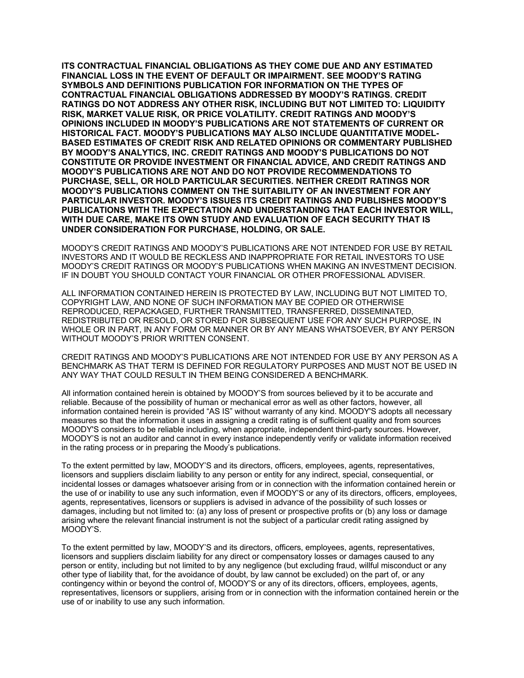**ITS CONTRACTUAL FINANCIAL OBLIGATIONS AS THEY COME DUE AND ANY ESTIMATED FINANCIAL LOSS IN THE EVENT OF DEFAULT OR IMPAIRMENT. SEE MOODY'S RATING SYMBOLS AND DEFINITIONS PUBLICATION FOR INFORMATION ON THE TYPES OF CONTRACTUAL FINANCIAL OBLIGATIONS ADDRESSED BY MOODY'S RATINGS. CREDIT RATINGS DO NOT ADDRESS ANY OTHER RISK, INCLUDING BUT NOT LIMITED TO: LIQUIDITY RISK, MARKET VALUE RISK, OR PRICE VOLATILITY. CREDIT RATINGS AND MOODY'S OPINIONS INCLUDED IN MOODY'S PUBLICATIONS ARE NOT STATEMENTS OF CURRENT OR HISTORICAL FACT. MOODY'S PUBLICATIONS MAY ALSO INCLUDE QUANTITATIVE MODEL-BASED ESTIMATES OF CREDIT RISK AND RELATED OPINIONS OR COMMENTARY PUBLISHED BY MOODY'S ANALYTICS, INC. CREDIT RATINGS AND MOODY'S PUBLICATIONS DO NOT CONSTITUTE OR PROVIDE INVESTMENT OR FINANCIAL ADVICE, AND CREDIT RATINGS AND MOODY'S PUBLICATIONS ARE NOT AND DO NOT PROVIDE RECOMMENDATIONS TO PURCHASE, SELL, OR HOLD PARTICULAR SECURITIES. NEITHER CREDIT RATINGS NOR MOODY'S PUBLICATIONS COMMENT ON THE SUITABILITY OF AN INVESTMENT FOR ANY PARTICULAR INVESTOR. MOODY'S ISSUES ITS CREDIT RATINGS AND PUBLISHES MOODY'S PUBLICATIONS WITH THE EXPECTATION AND UNDERSTANDING THAT EACH INVESTOR WILL, WITH DUE CARE, MAKE ITS OWN STUDY AND EVALUATION OF EACH SECURITY THAT IS UNDER CONSIDERATION FOR PURCHASE, HOLDING, OR SALE.** 

MOODY'S CREDIT RATINGS AND MOODY'S PUBLICATIONS ARE NOT INTENDED FOR USE BY RETAIL INVESTORS AND IT WOULD BE RECKLESS AND INAPPROPRIATE FOR RETAIL INVESTORS TO USE MOODY'S CREDIT RATINGS OR MOODY'S PUBLICATIONS WHEN MAKING AN INVESTMENT DECISION. IF IN DOUBT YOU SHOULD CONTACT YOUR FINANCIAL OR OTHER PROFESSIONAL ADVISER.

ALL INFORMATION CONTAINED HEREIN IS PROTECTED BY LAW, INCLUDING BUT NOT LIMITED TO, COPYRIGHT LAW, AND NONE OF SUCH INFORMATION MAY BE COPIED OR OTHERWISE REPRODUCED, REPACKAGED, FURTHER TRANSMITTED, TRANSFERRED, DISSEMINATED, REDISTRIBUTED OR RESOLD, OR STORED FOR SUBSEQUENT USE FOR ANY SUCH PURPOSE, IN WHOLE OR IN PART, IN ANY FORM OR MANNER OR BY ANY MEANS WHATSOEVER, BY ANY PERSON WITHOUT MOODY'S PRIOR WRITTEN CONSENT.

CREDIT RATINGS AND MOODY'S PUBLICATIONS ARE NOT INTENDED FOR USE BY ANY PERSON AS A BENCHMARK AS THAT TERM IS DEFINED FOR REGULATORY PURPOSES AND MUST NOT BE USED IN ANY WAY THAT COULD RESULT IN THEM BEING CONSIDERED A BENCHMARK.

All information contained herein is obtained by MOODY'S from sources believed by it to be accurate and reliable. Because of the possibility of human or mechanical error as well as other factors, however, all information contained herein is provided "AS IS" without warranty of any kind. MOODY'S adopts all necessary measures so that the information it uses in assigning a credit rating is of sufficient quality and from sources MOODY'S considers to be reliable including, when appropriate, independent third-party sources. However, MOODY'S is not an auditor and cannot in every instance independently verify or validate information received in the rating process or in preparing the Moody's publications.

To the extent permitted by law, MOODY'S and its directors, officers, employees, agents, representatives, licensors and suppliers disclaim liability to any person or entity for any indirect, special, consequential, or incidental losses or damages whatsoever arising from or in connection with the information contained herein or the use of or inability to use any such information, even if MOODY'S or any of its directors, officers, employees, agents, representatives, licensors or suppliers is advised in advance of the possibility of such losses or damages, including but not limited to: (a) any loss of present or prospective profits or (b) any loss or damage arising where the relevant financial instrument is not the subject of a particular credit rating assigned by MOODY'S.

To the extent permitted by law, MOODY'S and its directors, officers, employees, agents, representatives, licensors and suppliers disclaim liability for any direct or compensatory losses or damages caused to any person or entity, including but not limited to by any negligence (but excluding fraud, willful misconduct or any other type of liability that, for the avoidance of doubt, by law cannot be excluded) on the part of, or any contingency within or beyond the control of, MOODY'S or any of its directors, officers, employees, agents, representatives, licensors or suppliers, arising from or in connection with the information contained herein or the use of or inability to use any such information.